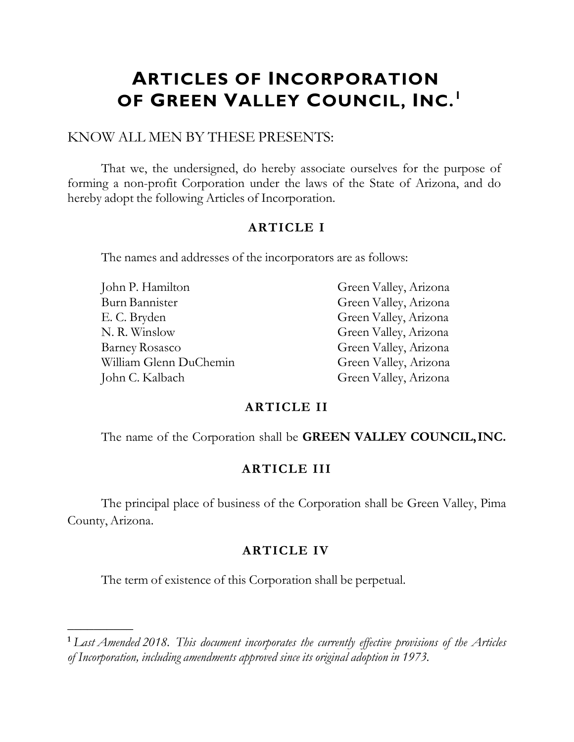# **ARTICLES OF INCORPORATION OF GREEN VALLEY COUNCIL, INC.<sup>1</sup>**

## KNOW ALL MEN BY THESE PRESENTS:

That we, the undersigned, do hereby associate ourselves for the purpose of forming a non-profit Corporation under the laws of the State of Arizona, and do hereby adopt the following Articles of Incorporation.

## **ARTICLE I**

The names and addresses of the incorporators are as follows:

| John P. Hamilton       | Green Valley, Arizona |
|------------------------|-----------------------|
| Burn Bannister         | Green Valley, Arizona |
| E. C. Bryden           | Green Valley, Arizona |
| N. R. Winslow          | Green Valley, Arizona |
| <b>Barney Rosasco</b>  | Green Valley, Arizona |
| William Glenn DuChemin | Green Valley, Arizona |
| John C. Kalbach        | Green Valley, Arizona |

### **ARTICLE II**

The name of the Corporation shall be **GREEN VALLEY COUNCIL,INC.**

### **ARTICLE III**

The principal place of business of the Corporation shall be Green Valley, Pima County, Arizona.

### **ARTICLE IV**

The term of existence of this Corporation shall be perpetual.

 $\frac{1}{2}$ 

**<sup>1</sup>** *Last Amended 2018. This document incorporates the currently effective provisions of the Articles of Incorporation, including amendments approved since its original adoption in 1973.*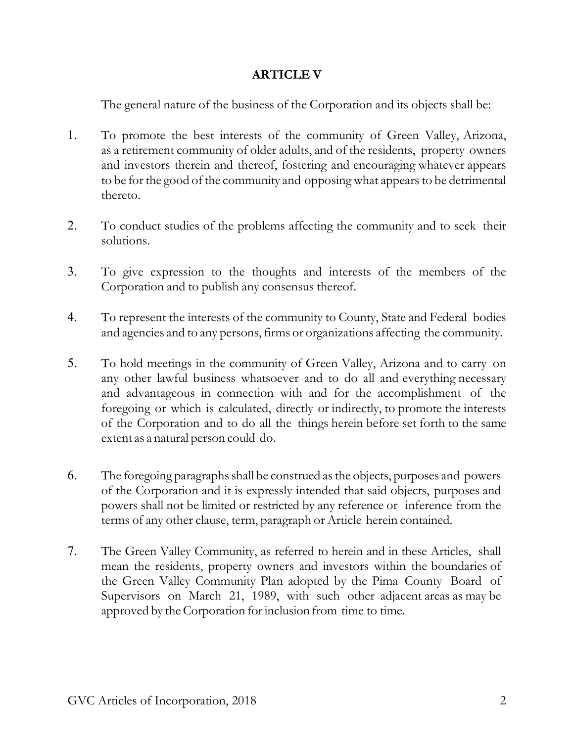## **ARTICLE V**

The general nature of the business of the Corporation and its objects shall be:

- 1. To promote the best interests of the community of Green Valley, Arizona, as a retirement community of older adults, and of the residents, property owners and investors therein and thereof, fostering and encouraging whatever appears to be for the good of the community and opposing what appears to be detrimental thereto.
- 2. To conduct studies of the problems affecting the community and to seek their solutions.
- 3. To give expression to the thoughts and interests of the members of the Corporation and to publish any consensus thereof.
- 4. To represent the interests of the community to County, State and Federal bodies and agencies and to any persons, firms or organizations affecting the community.
- 5. To hold meetings in the community of Green Valley, Arizona and to carry on any other lawful business whatsoever and to do all and everything necessary and advantageous in connection with and for the accomplishment of the foregoing or which is calculated, directly or indirectly, to promote the interests of the Corporation and to do all the things herein before set forth to the same extent as a natural person could do.
- 6. The foregoing paragraphsshall be construed asthe objects, purposes and powers of the Corporation and it is expressly intended that said objects, purposes and powers shall not be limited or restricted by any reference or inference from the terms of any other clause, term, paragraph or Article herein contained.
- 7. The Green Valley Community, as referred to herein and in these Articles, shall mean the residents, property owners and investors within the boundaries of the Green Valley Community Plan adopted by the Pima County Board of Supervisors on March 21, 1989, with such other adjacent areas as may be approved by the Corporation for inclusion from time to time.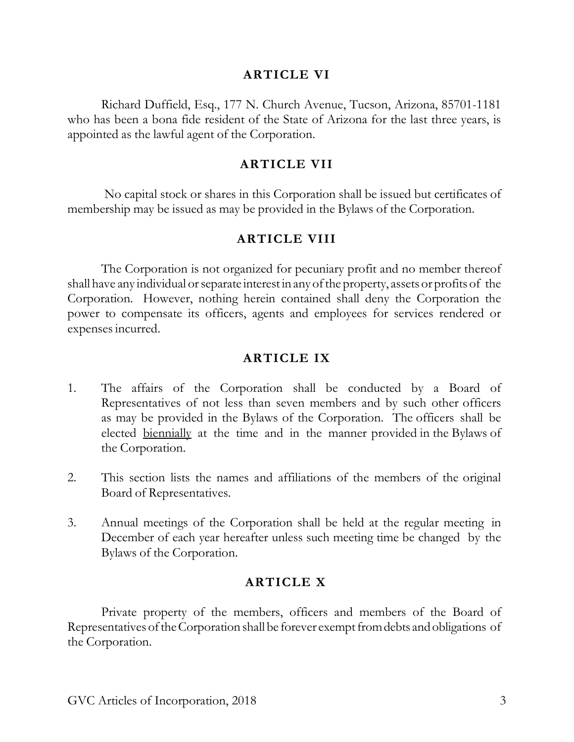## **ARTICLE VI**

Richard Duffield, Esq., 177 N. Church Avenue, Tucson, Arizona, 85701-1181 who has been a bona fide resident of the State of Arizona for the last three years, is appointed as the lawful agent of the Corporation.

## **ARTICLE VII**

No capital stock or shares in this Corporation shall be issued but certificates of membership may be issued as may be provided in the Bylaws of the Corporation.

# **ARTICLE VIII**

The Corporation is not organized for pecuniary profit and no member thereof shall have any individual or separate interest in any of the property, assets or profits of the Corporation. However, nothing herein contained shall deny the Corporation the power to compensate its officers, agents and employees for services rendered or expensesincurred.

# **ARTICLE IX**

- 1. The affairs of the Corporation shall be conducted by a Board of Representatives of not less than seven members and by such other officers as may be provided in the Bylaws of the Corporation. The officers shall be elected biennially at the time and in the manner provided in the Bylaws of the Corporation.
- 2. This section lists the names and affiliations of the members of the original Board of Representatives.
- 3. Annual meetings of the Corporation shall be held at the regular meeting in December of each year hereafter unless such meeting time be changed by the Bylaws of the Corporation.

# **ARTICLE X**

Private property of the members, officers and members of the Board of Representatives of the Corporation shall be forever exempt from debts and obligations of the Corporation.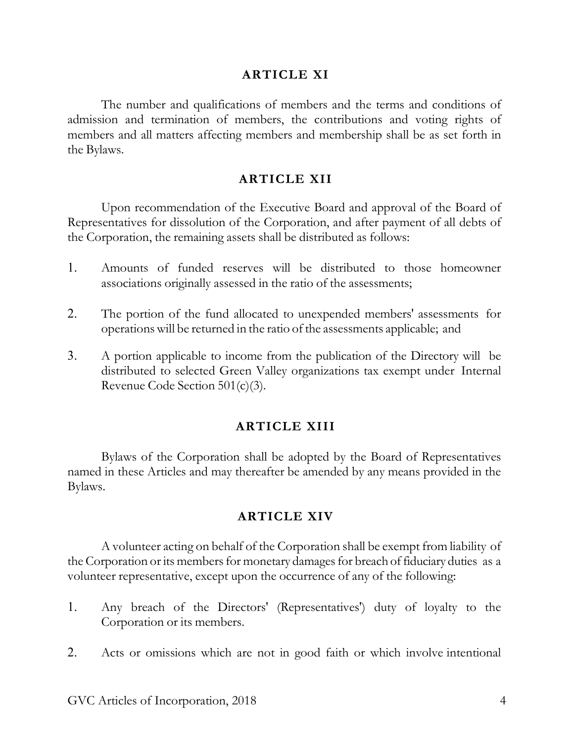## **ARTICLE XI**

The number and qualifications of members and the terms and conditions of admission and termination of members, the contributions and voting rights of members and all matters affecting members and membership shall be as set forth in the Bylaws.

### **ARTICLE XII**

Upon recommendation of the Executive Board and approval of the Board of Representatives for dissolution of the Corporation, and after payment of all debts of the Corporation, the remaining assets shall be distributed as follows:

- 1. Amounts of funded reserves will be distributed to those homeowner associations originally assessed in the ratio of the assessments;
- 2. The portion of the fund allocated to unexpended members' assessments for operationswill be returned in the ratio of the assessments applicable; and
- 3. A portion applicable to income from the publication of the Directory will be distributed to selected Green Valley organizations tax exempt under Internal Revenue Code Section 501(c)(3).

### **ARTICLE XIII**

Bylaws of the Corporation shall be adopted by the Board of Representatives named in these Articles and may thereafter be amended by any means provided in the Bylaws.

### **ARTICLE XIV**

A volunteer acting on behalf of the Corporation shall be exempt from liability of the Corporation or its members for monetary damages for breach of fiduciary duties as a volunteer representative, except upon the occurrence of any of the following:

- 1. Any breach of the Directors' (Representatives') duty of loyalty to the Corporation or its members.
- 2. Acts or omissions which are not in good faith or which involve intentional